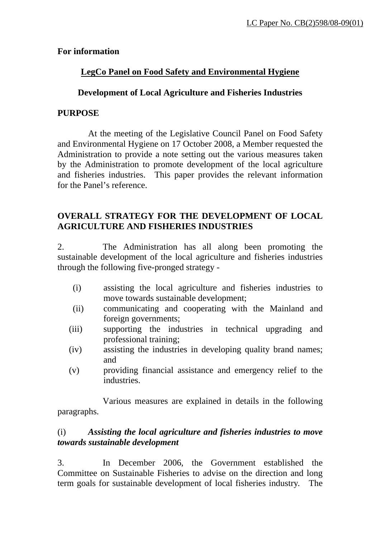#### **For information**

# **LegCo Panel on Food Safety and Environmental Hygiene**

## **Development of Local Agriculture and Fisheries Industries**

#### **PURPOSE**

 At the meeting of the Legislative Council Panel on Food Safety and Environmental Hygiene on 17 October 2008, a Member requested the Administration to provide a note setting out the various measures taken by the Administration to promote development of the local agriculture and fisheries industries. This paper provides the relevant information for the Panel's reference.

## **OVERALL STRATEGY FOR THE DEVELOPMENT OF LOCAL AGRICULTURE AND FISHERIES INDUSTRIES**

2. The Administration has all along been promoting the sustainable development of the local agriculture and fisheries industries through the following five-pronged strategy -

- (i) assisting the local agriculture and fisheries industries to move towards sustainable development;
- (ii) communicating and cooperating with the Mainland and foreign governments;
- (iii) supporting the industries in technical upgrading and professional training;
- (iv) assisting the industries in developing quality brand names; and
- (v) providing financial assistance and emergency relief to the industries.

 Various measures are explained in details in the following paragraphs.

#### (i) *Assisting the local agriculture and fisheries industries to move towards sustainable development*

3. In December 2006, the Government established the Committee on Sustainable Fisheries to advise on the direction and long term goals for sustainable development of local fisheries industry. The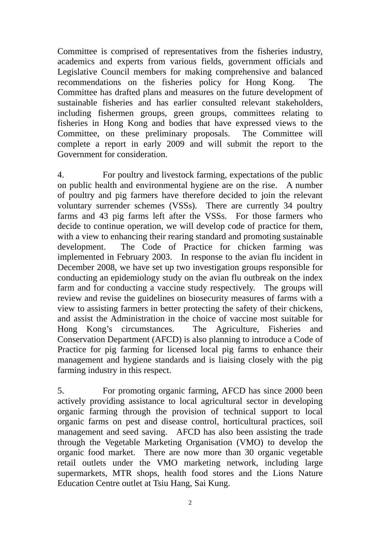Committee is comprised of representatives from the fisheries industry, academics and experts from various fields, government officials and Legislative Council members for making comprehensive and balanced recommendations on the fisheries policy for Hong Kong. The Committee has drafted plans and measures on the future development of sustainable fisheries and has earlier consulted relevant stakeholders, including fishermen groups, green groups, committees relating to fisheries in Hong Kong and bodies that have expressed views to the Committee, on these preliminary proposals. The Committee will complete a report in early 2009 and will submit the report to the Government for consideration.

4. For poultry and livestock farming, expectations of the public on public health and environmental hygiene are on the rise. A number of poultry and pig farmers have therefore decided to join the relevant voluntary surrender schemes (VSSs). There are currently 34 poultry farms and 43 pig farms left after the VSSs. For those farmers who decide to continue operation, we will develop code of practice for them, with a view to enhancing their rearing standard and promoting sustainable development. The Code of Practice for chicken farming was implemented in February 2003. In response to the avian flu incident in December 2008, we have set up two investigation groups responsible for conducting an epidemiology study on the avian flu outbreak on the index farm and for conducting a vaccine study respectively. The groups will review and revise the guidelines on biosecurity measures of farms with a view to assisting farmers in better protecting the safety of their chickens, and assist the Administration in the choice of vaccine most suitable for Hong Kong's circumstances. The Agriculture, Fisheries and Conservation Department (AFCD) is also planning to introduce a Code of Practice for pig farming for licensed local pig farms to enhance their management and hygiene standards and is liaising closely with the pig farming industry in this respect.

5. For promoting organic farming, AFCD has since 2000 been actively providing assistance to local agricultural sector in developing organic farming through the provision of technical support to local organic farms on pest and disease control, horticultural practices, soil management and seed saving. AFCD has also been assisting the trade through the Vegetable Marketing Organisation (VMO) to develop the organic food market. There are now more than 30 organic vegetable retail outlets under the VMO marketing network, including large supermarkets, MTR shops, health food stores and the Lions Nature Education Centre outlet at Tsiu Hang, Sai Kung.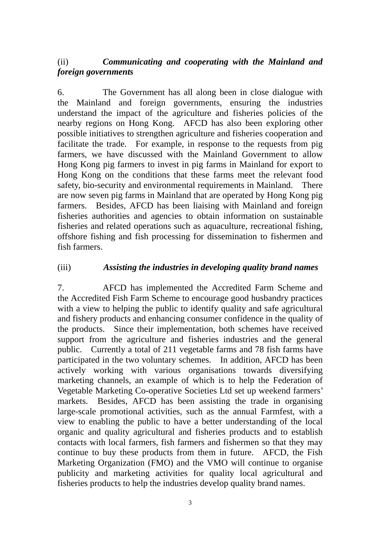# (ii) *Communicating and cooperating with the Mainland and foreign governments*

6. The Government has all along been in close dialogue with the Mainland and foreign governments, ensuring the industries understand the impact of the agriculture and fisheries policies of the nearby regions on Hong Kong. AFCD has also been exploring other possible initiatives to strengthen agriculture and fisheries cooperation and facilitate the trade. For example, in response to the requests from pig farmers, we have discussed with the Mainland Government to allow Hong Kong pig farmers to invest in pig farms in Mainland for export to Hong Kong on the conditions that these farms meet the relevant food safety, bio-security and environmental requirements in Mainland. There are now seven pig farms in Mainland that are operated by Hong Kong pig farmers. Besides, AFCD has been liaising with Mainland and foreign fisheries authorities and agencies to obtain information on sustainable fisheries and related operations such as aquaculture, recreational fishing, offshore fishing and fish processing for dissemination to fishermen and fish farmers.

#### (iii) *Assisting the industries in developing quality brand names*

7. AFCD has implemented the Accredited Farm Scheme and the Accredited Fish Farm Scheme to encourage good husbandry practices with a view to helping the public to identify quality and safe agricultural and fishery products and enhancing consumer confidence in the quality of the products. Since their implementation, both schemes have received support from the agriculture and fisheries industries and the general public. Currently a total of 211 vegetable farms and 78 fish farms have participated in the two voluntary schemes. In addition, AFCD has been actively working with various organisations towards diversifying marketing channels, an example of which is to help the Federation of Vegetable Marketing Co-operative Societies Ltd set up weekend farmers' markets. Besides, AFCD has been assisting the trade in organising large-scale promotional activities, such as the annual Farmfest, with a view to enabling the public to have a better understanding of the local organic and quality agricultural and fisheries products and to establish contacts with local farmers, fish farmers and fishermen so that they may continue to buy these products from them in future. AFCD, the Fish Marketing Organization (FMO) and the VMO will continue to organise publicity and marketing activities for quality local agricultural and fisheries products to help the industries develop quality brand names.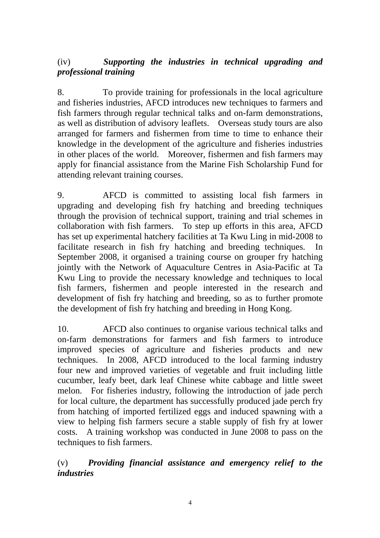# (iv) *Supporting the industries in technical upgrading and professional training*

8. To provide training for professionals in the local agriculture and fisheries industries, AFCD introduces new techniques to farmers and fish farmers through regular technical talks and on-farm demonstrations, as well as distribution of advisory leaflets. Overseas study tours are also arranged for farmers and fishermen from time to time to enhance their knowledge in the development of the agriculture and fisheries industries in other places of the world. Moreover, fishermen and fish farmers may apply for financial assistance from the Marine Fish Scholarship Fund for attending relevant training courses.

9. AFCD is committed to assisting local fish farmers in upgrading and developing fish fry hatching and breeding techniques through the provision of technical support, training and trial schemes in collaboration with fish farmers. To step up efforts in this area, AFCD has set up experimental hatchery facilities at Ta Kwu Ling in mid-2008 to facilitate research in fish fry hatching and breeding techniques. In September 2008, it organised a training course on grouper fry hatching jointly with the Network of Aquaculture Centres in Asia-Pacific at Ta Kwu Ling to provide the necessary knowledge and techniques to local fish farmers, fishermen and people interested in the research and development of fish fry hatching and breeding, so as to further promote the development of fish fry hatching and breeding in Hong Kong.

10. AFCD also continues to organise various technical talks and on-farm demonstrations for farmers and fish farmers to introduce improved species of agriculture and fisheries products and new techniques. In 2008, AFCD introduced to the local farming industry four new and improved varieties of vegetable and fruit including little cucumber, leafy beet, dark leaf Chinese white cabbage and little sweet melon. For fisheries industry, following the introduction of jade perch for local culture, the department has successfully produced jade perch fry from hatching of imported fertilized eggs and induced spawning with a view to helping fish farmers secure a stable supply of fish fry at lower costs. A training workshop was conducted in June 2008 to pass on the techniques to fish farmers.

(v) *Providing financial assistance and emergency relief to the industries*